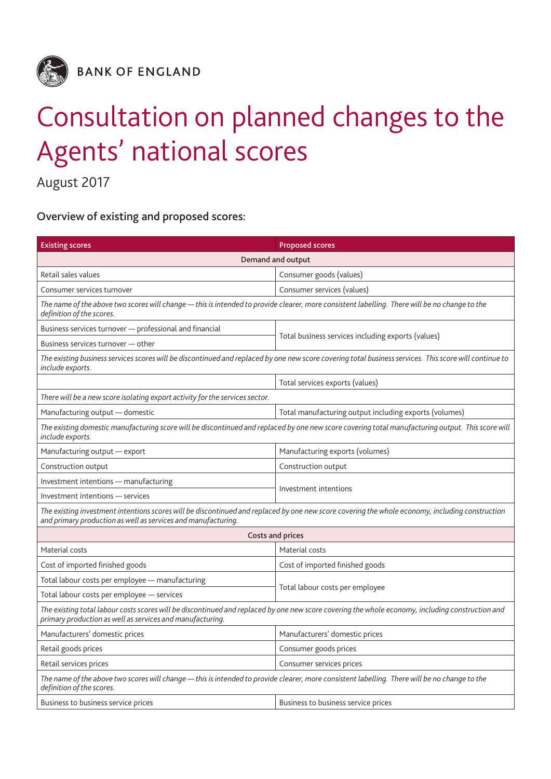

**BANK OF ENGLAND** 

## Consultation on planned changes to the Agents' national scores

August 2017

Overview of existing and proposed scores:

| <b>Existing scores</b>                                                                                                                                                                                           | <b>Proposed scores</b>                                 |
|------------------------------------------------------------------------------------------------------------------------------------------------------------------------------------------------------------------|--------------------------------------------------------|
| Demand and output                                                                                                                                                                                                |                                                        |
| Retail sales values                                                                                                                                                                                              | Consumer goods (values)                                |
| Consumer services turnover                                                                                                                                                                                       | Consumer services (values)                             |
| The name of the above two scores will change — this is intended to provide clearer, more consistent labelling. There will be no change to the<br>definition of the scores.                                       |                                                        |
| Business services turnover - professional and financial                                                                                                                                                          | Total business services including exports (values)     |
| Business services turnover - other                                                                                                                                                                               |                                                        |
| The existing business services scores will be discontinued and replaced by one new score covering total business services. This score will continue to<br>include exports.                                       |                                                        |
|                                                                                                                                                                                                                  | Total services exports (values)                        |
| There will be a new score isolating export activity for the services sector.                                                                                                                                     |                                                        |
| Manufacturing output - domestic                                                                                                                                                                                  | Total manufacturing output including exports (volumes) |
| The existing domestic manufacturing score will be discontinued and replaced by one new score covering total manufacturing output. This score will<br>include exports.                                            |                                                        |
| Manufacturing output - export                                                                                                                                                                                    | Manufacturing exports (volumes)                        |
| Construction output                                                                                                                                                                                              | Construction output                                    |
| Investment intentions - manufacturing                                                                                                                                                                            | Investment intentions                                  |
| Investment intentions - services                                                                                                                                                                                 |                                                        |
| The existing investment intentions scores will be discontinued and replaced by one new score covering the whole economy, including construction<br>and primary production as well as services and manufacturing. |                                                        |
| Costs and prices                                                                                                                                                                                                 |                                                        |
| Material costs                                                                                                                                                                                                   | Material costs                                         |
| Cost of imported finished goods                                                                                                                                                                                  | Cost of imported finished goods                        |
| Total labour costs per employee - manufacturing                                                                                                                                                                  | Total labour costs per employee                        |
| Total labour costs per employee - services                                                                                                                                                                       |                                                        |
| The existing total labour costs scores will be discontinued and replaced by one new score covering the whole economy, including construction and<br>primary production as well as services and manufacturing.    |                                                        |
| Manufacturers' domestic prices                                                                                                                                                                                   | Manufacturers' domestic prices                         |
| Retail goods prices                                                                                                                                                                                              | Consumer goods prices                                  |
| Retail services prices                                                                                                                                                                                           | Consumer services prices                               |
| The name of the above two scores will change — this is intended to provide clearer, more consistent labelling. There will be no change to the<br>definition of the scores.                                       |                                                        |
| Business to business service prices                                                                                                                                                                              | Business to business service prices                    |